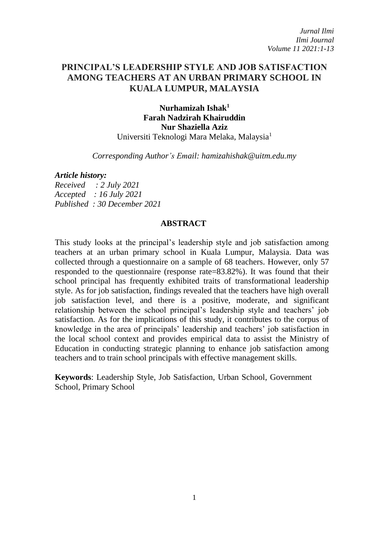*Jurnal Ilmi Ilmi Journal Volume 11 2021:1-13*

# **PRINCIPAL'S LEADERSHIP STYLE AND JOB SATISFACTION AMONG TEACHERS AT AN URBAN PRIMARY SCHOOL IN KUALA LUMPUR, MALAYSIA**

**Nurhamizah Ishak<sup>1</sup> Farah Nadzirah Khairuddin Nur Shaziella Aziz** Universiti Teknologi Mara Melaka, Malaysia<sup>1</sup>

*Corresponding Author's Email: [hamizahishak@uitm.edu.my](mailto:hamizahishak@uitm.edu.my)*

#### *Article history:*

*Received : 2 July 2021 Accepted : 16 July 2021 Published : 30 December 2021*

### **ABSTRACT**

This study looks at the principal's leadership style and job satisfaction among teachers at an urban primary school in Kuala Lumpur, Malaysia. Data was collected through a questionnaire on a sample of 68 teachers. However, only 57 responded to the questionnaire (response rate=83.82%). It was found that their school principal has frequently exhibited traits of transformational leadership style. As for job satisfaction, findings revealed that the teachers have high overall job satisfaction level, and there is a positive, moderate, and significant relationship between the school principal's leadership style and teachers' job satisfaction. As for the implications of this study, it contributes to the corpus of knowledge in the area of principals' leadership and teachers' job satisfaction in the local school context and provides empirical data to assist the Ministry of Education in conducting strategic planning to enhance job satisfaction among teachers and to train school principals with effective management skills.

**Keywords**: Leadership Style, Job Satisfaction, Urban School, Government School, Primary School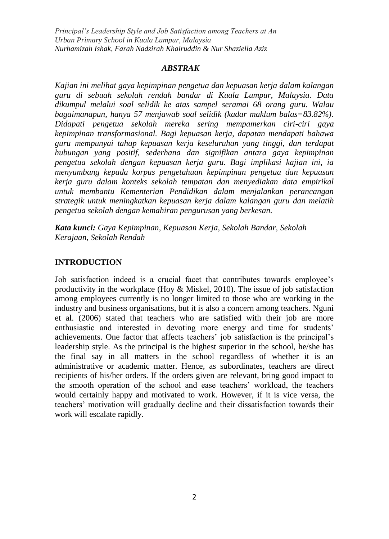### *ABSTRAK*

*Kajian ini melihat gaya kepimpinan pengetua dan kepuasan kerja dalam kalangan guru di sebuah sekolah rendah bandar di Kuala Lumpur, Malaysia. Data dikumpul melalui soal selidik ke atas sampel seramai 68 orang guru. Walau bagaimanapun, hanya 57 menjawab soal selidik (kadar maklum balas=83.82%). Didapati pengetua sekolah mereka sering mempamerkan ciri-ciri gaya kepimpinan transformasional. Bagi kepuasan kerja, dapatan mendapati bahawa guru mempunyai tahap kepuasan kerja keseluruhan yang tinggi, dan terdapat hubungan yang positif, sederhana dan signifikan antara gaya kepimpinan pengetua sekolah dengan kepuasan kerja guru. Bagi implikasi kajian ini, ia menyumbang kepada korpus pengetahuan kepimpinan pengetua dan kepuasan kerja guru dalam konteks sekolah tempatan dan menyediakan data empirikal untuk membantu Kementerian Pendidikan dalam menjalankan perancangan strategik untuk meningkatkan kepuasan kerja dalam kalangan guru dan melatih pengetua sekolah dengan kemahiran pengurusan yang berkesan.*

*Kata kunci: Gaya Kepimpinan, Kepuasan Kerja, Sekolah Bandar, Sekolah Kerajaan, Sekolah Rendah*

### **INTRODUCTION**

Job satisfaction indeed is a crucial facet that contributes towards employee's productivity in the workplace (Hoy  $\&$  Miskel, 2010). The issue of job satisfaction among employees currently is no longer limited to those who are working in the industry and business organisations, but it is also a concern among teachers. Nguni et al. (2006) stated that teachers who are satisfied with their job are more enthusiastic and interested in devoting more energy and time for students' achievements. One factor that affects teachers' job satisfaction is the principal's leadership style. As the principal is the highest superior in the school, he/she has the final say in all matters in the school regardless of whether it is an administrative or academic matter. Hence, as subordinates, teachers are direct recipients of his/her orders. If the orders given are relevant, bring good impact to the smooth operation of the school and ease teachers' workload, the teachers would certainly happy and motivated to work. However, if it is vice versa, the teachers' motivation will gradually decline and their dissatisfaction towards their work will escalate rapidly.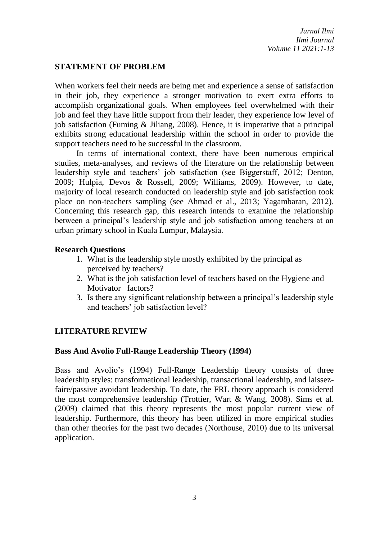## **STATEMENT OF PROBLEM**

When workers feel their needs are being met and experience a sense of satisfaction in their job, they experience a stronger motivation to exert extra efforts to accomplish organizational goals. When employees feel overwhelmed with their job and feel they have little support from their leader, they experience low level of job satisfaction (Fuming & Jiliang, 2008). Hence, it is imperative that a principal exhibits strong educational leadership within the school in order to provide the support teachers need to be successful in the classroom.

In terms of international context, there have been numerous empirical studies, meta-analyses, and reviews of the literature on the relationship between leadership style and teachers' job satisfaction (see Biggerstaff, 2012; Denton, 2009; Hulpia, Devos & Rossell, 2009; Williams, 2009). However, to date, majority of local research conducted on leadership style and job satisfaction took place on non-teachers sampling (see Ahmad et al., 2013; Yagambaran, 2012). Concerning this research gap, this research intends to examine the relationship between a principal's leadership style and job satisfaction among teachers at an urban primary school in Kuala Lumpur, Malaysia.

## **Research Questions**

- 1. What is the leadership style mostly exhibited by the principal as perceived by teachers?
- 2. What is the job satisfaction level of teachers based on the Hygiene and Motivator factors?
- 3. Is there any significant relationship between a principal's leadership style and teachers' job satisfaction level?

## **LITERATURE REVIEW**

## **Bass And Avolio Full-Range Leadership Theory (1994)**

Bass and Avolio's (1994) Full-Range Leadership theory consists of three leadership styles: transformational leadership, transactional leadership, and laissezfaire/passive avoidant leadership. To date, the FRL theory approach is considered the most comprehensive leadership (Trottier, Wart & Wang, 2008). Sims et al. (2009) claimed that this theory represents the most popular current view of leadership. Furthermore, this theory has been utilized in more empirical studies than other theories for the past two decades (Northouse, 2010) due to its universal application.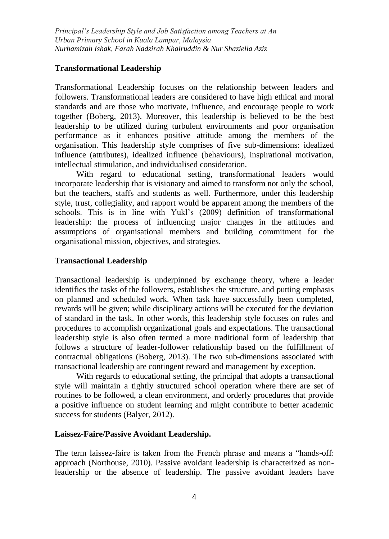## **Transformational Leadership**

Transformational Leadership focuses on the relationship between leaders and followers. Transformational leaders are considered to have high ethical and moral standards and are those who motivate, influence, and encourage people to work together (Boberg, 2013). Moreover, this leadership is believed to be the best leadership to be utilized during turbulent environments and poor organisation performance as it enhances positive attitude among the members of the organisation. This leadership style comprises of five sub-dimensions: idealized influence (attributes), idealized influence (behaviours), inspirational motivation, intellectual stimulation, and individualised consideration.

With regard to educational setting, transformational leaders would incorporate leadership that is visionary and aimed to transform not only the school, but the teachers, staffs and students as well. Furthermore, under this leadership style, trust, collegiality, and rapport would be apparent among the members of the schools. This is in line with Yukl's (2009) definition of transformational leadership: the process of influencing major changes in the attitudes and assumptions of organisational members and building commitment for the organisational mission, objectives, and strategies.

## **Transactional Leadership**

Transactional leadership is underpinned by exchange theory, where a leader identifies the tasks of the followers, establishes the structure, and putting emphasis on planned and scheduled work. When task have successfully been completed, rewards will be given; while disciplinary actions will be executed for the deviation of standard in the task. In other words, this leadership style focuses on rules and procedures to accomplish organizational goals and expectations. The transactional leadership style is also often termed a more traditional form of leadership that follows a structure of leader-follower relationship based on the fulfillment of contractual obligations (Boberg, 2013). The two sub-dimensions associated with transactional leadership are contingent reward and management by exception.

With regards to educational setting, the principal that adopts a transactional style will maintain a tightly structured school operation where there are set of routines to be followed, a clean environment, and orderly procedures that provide a positive influence on student learning and might contribute to better academic success for students (Balyer, 2012).

## **Laissez-Faire/Passive Avoidant Leadership.**

The term laissez-faire is taken from the French phrase and means a "hands-off: approach (Northouse, 2010). Passive avoidant leadership is characterized as nonleadership or the absence of leadership. The passive avoidant leaders have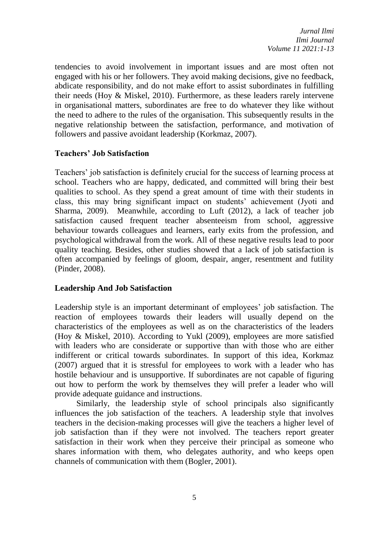*Jurnal Ilmi Ilmi Journal Volume 11 2021:1-13*

tendencies to avoid involvement in important issues and are most often not engaged with his or her followers. They avoid making decisions, give no feedback, abdicate responsibility, and do not make effort to assist subordinates in fulfilling their needs (Hoy & Miskel, 2010). Furthermore, as these leaders rarely intervene in organisational matters, subordinates are free to do whatever they like without the need to adhere to the rules of the organisation. This subsequently results in the negative relationship between the satisfaction, performance, and motivation of followers and passive avoidant leadership (Korkmaz, 2007).

## **Teachers' Job Satisfaction**

Teachers' job satisfaction is definitely crucial for the success of learning process at school. Teachers who are happy, dedicated, and committed will bring their best qualities to school. As they spend a great amount of time with their students in class, this may bring significant impact on students' achievement (Jyoti and Sharma, 2009). Meanwhile, according to Luft (2012), a lack of teacher job satisfaction caused frequent teacher absenteeism from school, aggressive behaviour towards colleagues and learners, early exits from the profession, and psychological withdrawal from the work. All of these negative results lead to poor quality teaching. Besides, other studies showed that a lack of job satisfaction is often accompanied by feelings of gloom, despair, anger, resentment and futility (Pinder, 2008).

## **Leadership And Job Satisfaction**

Leadership style is an important determinant of employees' job satisfaction. The reaction of employees towards their leaders will usually depend on the characteristics of the employees as well as on the characteristics of the leaders (Hoy & Miskel, 2010). According to Yukl (2009), employees are more satisfied with leaders who are considerate or supportive than with those who are either indifferent or critical towards subordinates. In support of this idea, Korkmaz (2007) argued that it is stressful for employees to work with a leader who has hostile behaviour and is unsupportive. If subordinates are not capable of figuring out how to perform the work by themselves they will prefer a leader who will provide adequate guidance and instructions.

Similarly, the leadership style of school principals also significantly influences the job satisfaction of the teachers. A leadership style that involves teachers in the decision-making processes will give the teachers a higher level of job satisfaction than if they were not involved. The teachers report greater satisfaction in their work when they perceive their principal as someone who shares information with them, who delegates authority, and who keeps open channels of communication with them (Bogler, 2001).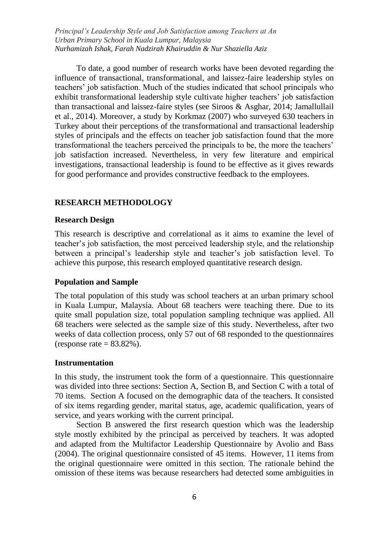To date, a good number of research works have been devoted regarding the influence of transactional, transformational, and laissez-faire leadership styles on teachers' job satisfaction. Much of the studies indicated that school principals who exhibit transformational leadership style cultivate higher teachers' job satisfaction than transactional and laissez-faire styles (see Siroos & Asghar, 2014; Jamallullail et al., 2014). Moreover, a study by Korkmaz (2007) who surveyed 630 teachers in Turkey about their perceptions of the transformational and transactional leadership styles of principals and the effects on teacher job satisfaction found that the more transformational the teachers perceived the principals to be, the more the teachers' job satisfaction increased. Nevertheless, in very few literature and empirical investigations, transactional leadership is found to be effective as it gives rewards for good performance and provides constructive feedback to the employees.

### **RESEARCH METHODOLOGY**

#### **Research Design**

This research is descriptive and correlational as it aims to examine the level of teacher's job satisfaction, the most perceived leadership style, and the relationship between a principal's leadership style and teacher's job satisfaction level. To achieve this purpose, this research employed quantitative research design.

### **Population and Sample**

The total population of this study was school teachers at an urban primary school in Kuala Lumpur, Malaysia. About 68 teachers were teaching there. Due to its quite small population size, total population sampling technique was applied. All 68 teachers were selected as the sample size of this study. Nevertheless, after two weeks of data collection process, only 57 out of 68 responded to the questionnaires (response rate  $= 83.82\%$ ).

### **Instrumentation**

In this study, the instrument took the form of a questionnaire. This questionnaire was divided into three sections: Section A, Section B, and Section C with a total of 70 items. Section A focused on the demographic data of the teachers. It consisted of six items regarding gender, marital status, age, academic qualification, years of service, and years working with the current principal.

Section B answered the first research question which was the leadership style mostly exhibited by the principal as perceived by teachers. It was adopted and adapted from the Multifactor Leadership Questionnaire by Avolio and Bass (2004). The original questionnaire consisted of 45 items. However, 11 items from the original questionnaire were omitted in this section. The rationale behind the omission of these items was because researchers had detected some ambiguities in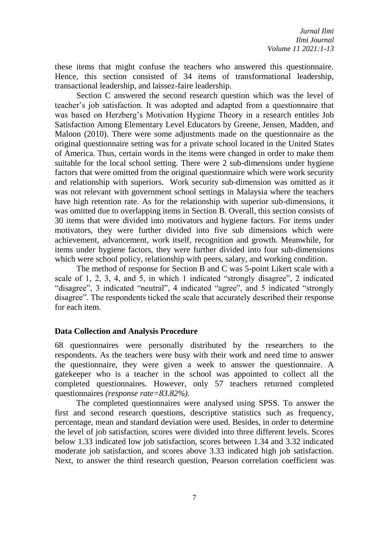these items that might confuse the teachers who answered this questionnaire. Hence, this section consisted of 34 items of transformational leadership, transactional leadership, and laissez-faire leadership.

Section C answered the second research question which was the level of teacher's job satisfaction. It was adopted and adapted from a questionnaire that was based on Herzberg's Motivation Hygiene Theory in a research entitles Job Satisfaction Among Elementary Level Educators by Greene, Jensen, Madden, and Maloon (2010). There were some adjustments made on the questionnaire as the original questionnaire setting was for a private school located in the United States of America. Thus, certain words in the items were changed in order to make them suitable for the local school setting. There were 2 sub-dimensions under hygiene factors that were omitted from the original questionnaire which were work security and relationship with superiors. Work security sub-dimension was omitted as it was not relevant with government school settings in Malaysia where the teachers have high retention rate. As for the relationship with superior sub-dimensions, it was omitted due to overlapping items in Section B. Overall, this section consists of 30 items that were divided into motivators and hygiene factors. For items under motivators, they were further divided into five sub dimensions which were achievement, advancement, work itself, recognition and growth. Meanwhile, for items under hygiene factors, they were further divided into four sub-dimensions which were school policy, relationship with peers, salary, and working condition.

The method of response for Section B and C was 5-point Likert scale with a scale of 1, 2, 3, 4, and 5, in which 1 indicated "strongly disagree", 2 indicated "disagree", 3 indicated "neutral", 4 indicated "agree", and 5 indicated "strongly disagree". The respondents ticked the scale that accurately described their response for each item.

## **Data Collection and Analysis Procedure**

68 questionnaires were personally distributed by the researchers to the respondents. As the teachers were busy with their work and need time to answer the questionnaire, they were given a week to answer the questionnaire. A gatekeeper who is a teacher in the school was appointed to collect all the completed questionnaires. However, only 57 teachers returned completed questionnaires *(response rate=83.82%).* 

The completed questionnaires were analysed using SPSS. To answer the first and second research questions, descriptive statistics such as frequency, percentage, mean and standard deviation were used. Besides, in order to determine the level of job satisfaction, scores were divided into three different levels. Scores below 1.33 indicated low job satisfaction, scores between 1.34 and 3.32 indicated moderate job satisfaction, and scores above 3.33 indicated high job satisfaction. Next, to answer the third research question, Pearson correlation coefficient was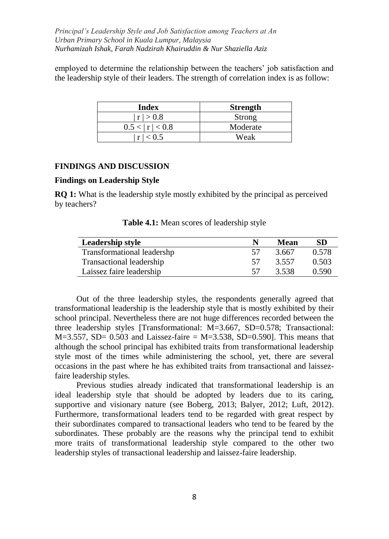employed to determine the relationship between the teachers' job satisfaction and the leadership style of their leaders. The strength of correlation index is as follow:

| Index           | <b>Strength</b> |
|-----------------|-----------------|
| r  > 0.8        | Strong          |
| 0.5 <  r  < 0.8 | Moderate        |
| r < 0.5         | Weak            |

### **FINDINGS AND DISCUSSION**

### **Findings on Leadership Style**

**RQ 1:** What is the leadership style mostly exhibited by the principal as perceived by teachers?

| Leadership style           |    | Mean  | SD    |
|----------------------------|----|-------|-------|
| Transformational leadershp |    | 3.667 | 0.578 |
| Transactional leadership   | 57 | 3.557 | 0.503 |
| Laissez faire leadership   |    | 3.538 | 0.590 |

**Table 4.1:** Mean scores of leadership style

Out of the three leadership styles, the respondents generally agreed that transformational leadership is the leadership style that is mostly exhibited by their school principal. Nevertheless there are not huge differences recorded between the three leadership styles [Transformational: M=3.667, SD=0.578; Transactional:  $M=3.557$ , SD= 0.503 and Laissez-faire =  $M=3.538$ , SD=0.590. This means that although the school principal has exhibited traits from transformational leadership style most of the times while administering the school, yet, there are several occasions in the past where he has exhibited traits from transactional and laissezfaire leadership styles.

Previous studies already indicated that transformational leadership is an ideal leadership style that should be adopted by leaders due to its caring, supportive and visionary nature (see Boberg, 2013; Balyer, 2012; Luft, 2012). Furthermore, transformational leaders tend to be regarded with great respect by their subordinates compared to transactional leaders who tend to be feared by the subordinates. These probably are the reasons why the principal tend to exhibit more traits of transformational leadership style compared to the other two leadership styles of transactional leadership and laissez-faire leadership.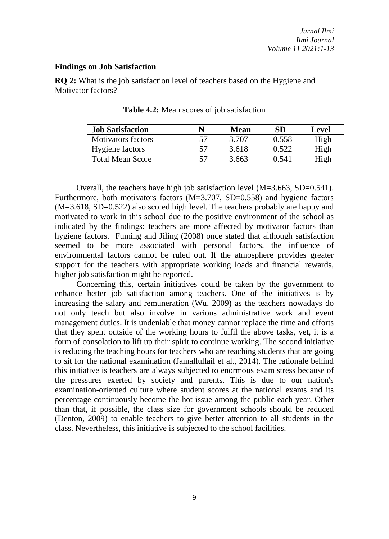### **Findings on Job Satisfaction**

**RQ 2:** What is the job satisfaction level of teachers based on the Hygiene and Motivator factors?

| <b>Job Satisfaction</b> |    | Mean  | SD     | Level |
|-------------------------|----|-------|--------|-------|
| Motivators factors      | 57 | 3.707 | 0.558  | High  |
| Hygiene factors         | 57 | 3.618 | 0.522  | High  |
| Total Mean Score        |    | 3 663 | () 541 | High  |

**Table 4.2:** Mean scores of job satisfaction

Overall, the teachers have high job satisfaction level (M=3.663, SD=0.541). Furthermore, both motivators factors (M=3.707, SD=0.558) and hygiene factors (M=3.618, SD=0.522) also scored high level. The teachers probably are happy and motivated to work in this school due to the positive environment of the school as indicated by the findings: teachers are more affected by motivator factors than hygiene factors. Fuming and Jiling (2008) once stated that although satisfaction seemed to be more associated with personal factors, the influence of environmental factors cannot be ruled out. If the atmosphere provides greater support for the teachers with appropriate working loads and financial rewards, higher job satisfaction might be reported.

Concerning this, certain initiatives could be taken by the government to enhance better job satisfaction among teachers. One of the initiatives is by increasing the salary and remuneration (Wu, 2009) as the teachers nowadays do not only teach but also involve in various administrative work and event management duties. It is undeniable that money cannot replace the time and efforts that they spent outside of the working hours to fulfil the above tasks, yet, it is a form of consolation to lift up their spirit to continue working. The second initiative is reducing the teaching hours for teachers who are teaching students that are going to sit for the national examination (Jamallullail et al., 2014). The rationale behind this initiative is teachers are always subjected to enormous exam stress because of the pressures exerted by society and parents. This is due to our nation's examination-oriented culture where student scores at the national exams and its percentage continuously become the hot issue among the public each year. Other than that, if possible, the class size for government schools should be reduced (Denton, 2009) to enable teachers to give better attention to all students in the class. Nevertheless, this initiative is subjected to the school facilities.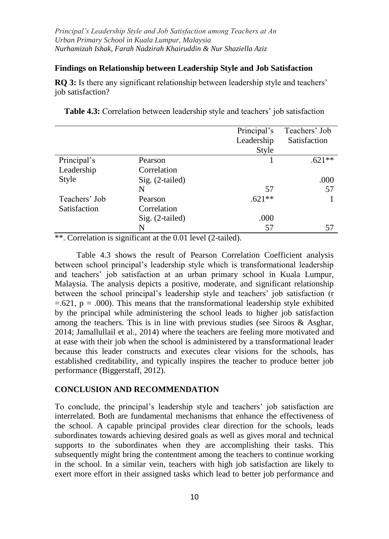### **Findings on Relationship between Leadership Style and Job Satisfaction**

**RQ 3:** Is there any significant relationship between leadership style and teachers' job satisfaction?

|               |                   | Principal's | Teachers' Job |
|---------------|-------------------|-------------|---------------|
|               |                   | Leadership  | Satisfaction  |
|               |                   | Style       |               |
| Principal's   | Pearson           |             | $.621**$      |
| Leadership    | Correlation       |             |               |
| Style         | $Sig. (2-tailed)$ |             | .000          |
|               | N                 | 57          | 57            |
| Teachers' Job | Pearson           | $.621**$    |               |
| Satisfaction  | Correlation       |             |               |
|               | Sig. (2-tailed)   | .000        |               |
|               | N                 | 57          | 57            |

**Table 4.3:** Correlation between leadership style and teachers' job satisfaction

\*\*. Correlation is significant at the 0.01 level (2-tailed).

Table 4.3 shows the result of Pearson Correlation Coefficient analysis between school principal's leadership style which is transformational leadership and teachers' job satisfaction at an urban primary school in Kuala Lumpur, Malaysia. The analysis depicts a positive, moderate, and significant relationship between the school principal's leadership style and teachers' job satisfaction (r  $=621$ ,  $p = .000$ . This means that the transformational leadership style exhibited by the principal while administering the school leads to higher job satisfaction among the teachers. This is in line with previous studies (see Siroos & Asghar, 2014; Jamallullail et al., 2014) where the teachers are feeling more motivated and at ease with their job when the school is administered by a transformational leader because this leader constructs and executes clear visions for the schools, has established creditability, and typically inspires the teacher to produce better job performance (Biggerstaff, 2012).

### **CONCLUSION AND RECOMMENDATION**

To conclude, the principal's leadership style and teachers' job satisfaction are interrelated. Both are fundamental mechanisms that enhance the effectiveness of the school. A capable principal provides clear direction for the schools, leads subordinates towards achieving desired goals as well as gives moral and technical supports to the subordinates when they are accomplishing their tasks. This subsequently might bring the contentment among the teachers to continue working in the school. In a similar vein, teachers with high job satisfaction are likely to exert more effort in their assigned tasks which lead to better job performance and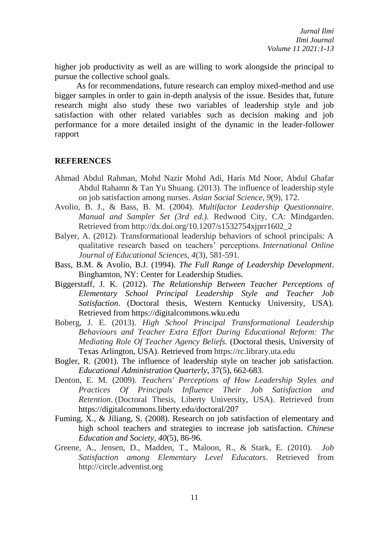higher job productivity as well as are willing to work alongside the principal to pursue the collective school goals.

As for recommendations, future research can employ mixed-method and use bigger samples in order to gain in-depth analysis of the issue. Besides that, future research might also study these two variables of leadership style and job satisfaction with other related variables such as decision making and job performance for a more detailed insight of the dynamic in the leader-follower rapport

### **REFERENCES**

- Ahmad Abdul Rahman, Mohd Nazir Mohd Adi, Haris Md Noor, Abdul Ghafar Abdul Rahamn & Tan Yu Shuang. (2013). The influence of leadership style on job satisfaction among nurses. *Asian Social Science*, *9*(9), 172.
- Avolio, B. J., & Bass, B. M. (2004). *Multifactor Leadership Questionnaire. Manual and Sampler Set (3rd ed.).* Redwood City, CA: Mindgarden. Retrieved from http://dx.doi.org/10.1207/s1532754xjprr1602\_2
- Balyer, A. (2012). Transformational leadership behaviors of school principals: A qualitative research based on teachers' perceptions. *International Online Journal of Educational Sciences*, *4*(3), 581-591.
- Bass, B.M. & Avolio, B.J. (1994). *The Full Range of Leadership Development*. Binghamton, NY: Center for Leadership Studies.
- Biggerstaff, J. K. (2012). *The Relationship Between Teacher Perceptions of Elementary School Principal Leadership Style and Teacher Job Satisfaction*. (Doctoral thesis, Western Kentucky University, USA). Retrieved from https://digitalcommons.wku.edu
- Boberg, J. E. (2013). *High School Principal Transformational Leadership Behaviours and Teacher Extra Effort During Educational Reform: The Mediating Role Of Teacher Agency Beliefs.* (Doctoral thesis, University of Texas Arlington, USA). Retrieved from https://rc.library.uta.edu
- Bogler, R. (2001). The influence of leadership style on teacher job satisfaction. *Educational Administration Quarterly*, 37(5), 662-683.
- Denton, E. M. (2009). *Teachers' Perceptions of How Leadership Styles and Practices Of Principals Influence Their Job Satisfaction and Retention*. (Doctoral Thesis, Liberty University, USA). Retrieved from https://digitalcommons.liberty.edu/doctoral/207
- Fuming, X., & Jiliang, S. (2008). Research on job satisfaction of elementary and high school teachers and strategies to increase job satisfaction. *Chinese Education and Society*, *40*(5), 86-96.
- Greene, A., Jensen, D., Madden, T., Maloon, R., & Stark, E. (2010). *Job Satisfaction among Elementary Level Educators*. Retrieved from http://circle.adventist.org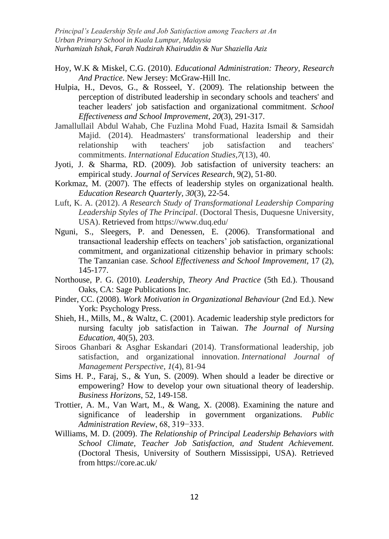- Hoy, W.K & Miskel, C.G. (2010). *Educational Administration: Theory, Research And Practice.* New Jersey: McGraw-Hill Inc.
- Hulpia, H., Devos, G., & Rosseel, Y. (2009). The relationship between the perception of distributed leadership in secondary schools and teachers' and teacher leaders' job satisfaction and organizational commitment. *School Effectiveness and School Improvement*, *20*(3), 291-317.
- Jamallullail Abdul Wahab, Che Fuzlina Mohd Fuad, Hazita Ismail & Samsidah Majid. (2014). Headmasters' transformational leadership and their relationship with teachers' job satisfaction and teachers' commitments. *International Education Studies*,*7*(13), 40.
- Jyoti, J. & Sharma, RD. (2009). Job satisfaction of university teachers: an empirical study. *Journal of Services Research*, 9(2), 51-80.
- Korkmaz, M. (2007). The effects of leadership styles on organizational health. *Education Research Quarterly, 30*(3), 22-54.
- Luft, K. A. (2012). *A Research Study of Transformational Leadership Comparing Leadership Styles of The Principal*. (Doctoral Thesis, Duquesne University, USA). Retrieved from https://www.duq.edu/
- Nguni, S., Sleegers, P. and Denessen, E. (2006). Transformational and transactional leadership effects on teachers' job satisfaction, organizational commitment, and organizational citizenship behavior in primary schools: The Tanzanian case. *School Effectiveness and School Improvement,* 17 (2), 145-177.
- Northouse, P. G. (2010). *Leadership, Theory And Practice* (5th Ed.). Thousand Oaks, CA: Sage Publications Inc.
- Pinder, CC. (2008). *Work Motivation in Organizational Behaviour* (2nd Ed.). New York: Psychology Press.
- Shieh, H., Mills, M., & Waltz, C. (2001). Academic leadership style predictors for nursing faculty job satisfaction in Taiwan. *The Journal of Nursing Education,* 40(5), 203.
- Siroos Ghanbari & Asghar Eskandari (2014). Transformational leadership, job satisfaction, and organizational innovation. *International Journal of Management Perspective*, *1*(4), 81-94
- Sims H. P., Faraj, S., & Yun, S. (2009). When should a leader be directive or empowering? How to develop your own situational theory of leadership. *Business Horizons*, 52, 149-158.
- Trottier, A. M., Van Wart, M., & Wang, X. (2008). Examining the nature and significance of leadership in government organizations. *Public Administration Review*, 68, 319−333.
- Williams, M. D. (2009). *The Relationship of Principal Leadership Behaviors with School Climate, Teacher Job Satisfaction, and Student Achievement.*  (Doctoral Thesis, University of Southern Mississippi, USA). Retrieved from https://core.ac.uk/